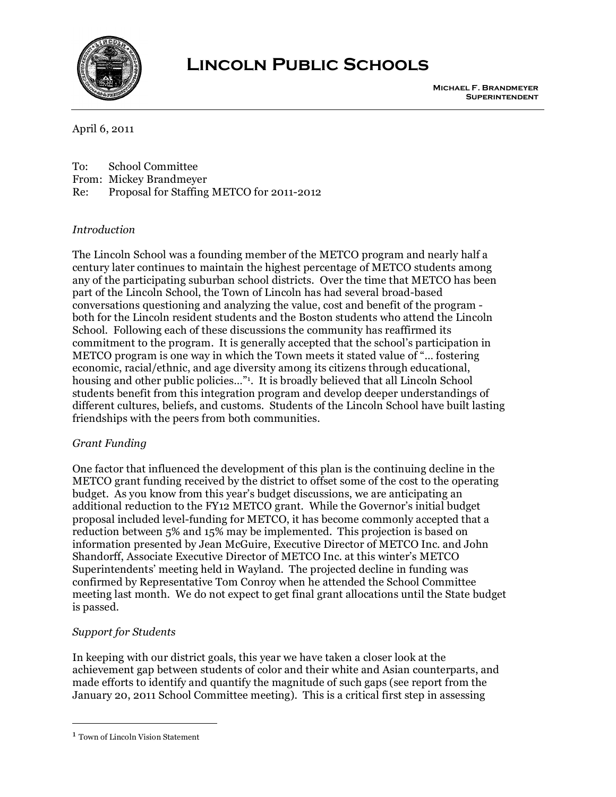

# **Lincoln Public Schools**

April 6, 2011

To: School Committee

From: Mickey Brandmeyer

Re: Proposal for Staffing METCO for 2011-2012

# *Introduction*

The Lincoln School was a founding member of the METCO program and nearly half a century later continues to maintain the highest percentage of METCO students among any of the participating suburban school districts. Over the time that METCO has been part of the Lincoln School, the Town of Lincoln has had several broad-based conversations questioning and analyzing the value, cost and benefit of the program both for the Lincoln resident students and the Boston students who attend the Lincoln School. Following each of these discussions the community has reaffirmed its commitment to the program. It is generally accepted that the school's participation in METCO program is one way in which the Town meets it stated value of "… fostering economic, racial/ethnic, and age diversity among its citizens through educational, housing and other public policies..."<sup>1</sup>. It is broadly believed that all Lincoln School students benefit from this integration program and develop deeper understandings of different cultures, beliefs, and customs. Students of the Lincoln School have built lasting friendships with the peers from both communities.

# *Grant Funding*

One factor that influenced the development of this plan is the continuing decline in the METCO grant funding received by the district to offset some of the cost to the operating budget. As you know from this year's budget discussions, we are anticipating an additional reduction to the FY12 METCO grant. While the Governor's initial budget proposal included level-funding for METCO, it has become commonly accepted that a reduction between 5% and 15% may be implemented. This projection is based on information presented by Jean McGuire, Executive Director of METCO Inc. and John Shandorff, Associate Executive Director of METCO Inc. at this winter's METCO Superintendents' meeting held in Wayland. The projected decline in funding was confirmed by Representative Tom Conroy when he attended the School Committee meeting last month. We do not expect to get final grant allocations until the State budget is passed.

# *Support for Students*

In keeping with our district goals, this year we have taken a closer look at the achievement gap between students of color and their white and Asian counterparts, and made efforts to identify and quantify the magnitude of such gaps (see report from the January 20, 2011 School Committee meeting). This is a critical first step in assessing

 <sup>1</sup> Town of Lincoln Vision Statement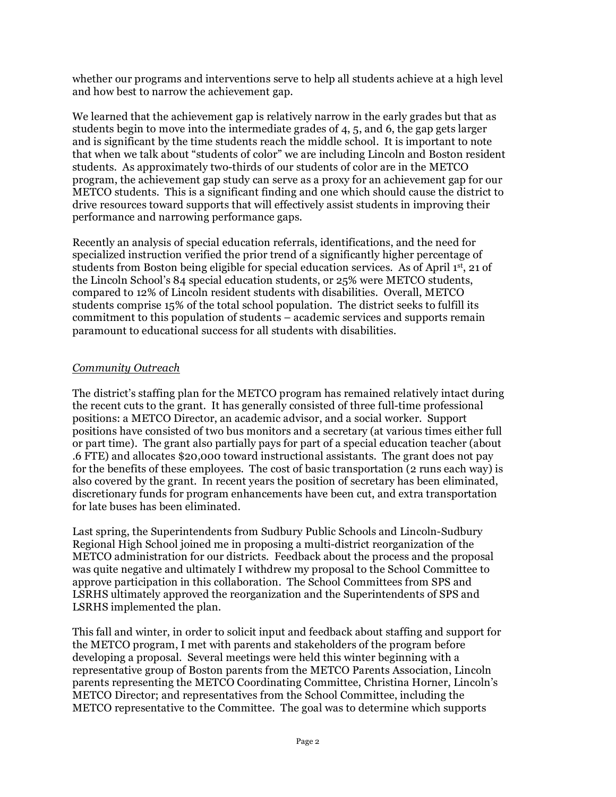whether our programs and interventions serve to help all students achieve at a high level and how best to narrow the achievement gap.

We learned that the achievement gap is relatively narrow in the early grades but that as students begin to move into the intermediate grades of 4, 5, and 6, the gap gets larger and is significant by the time students reach the middle school. It is important to note that when we talk about "students of color" we are including Lincoln and Boston resident students. As approximately two-thirds of our students of color are in the METCO program, the achievement gap study can serve as a proxy for an achievement gap for our METCO students. This is a significant finding and one which should cause the district to drive resources toward supports that will effectively assist students in improving their performance and narrowing performance gaps.

Recently an analysis of special education referrals, identifications, and the need for specialized instruction verified the prior trend of a significantly higher percentage of students from Boston being eligible for special education services. As of April 1st, 21 of the Lincoln School's 84 special education students, or 25% were METCO students, compared to 12% of Lincoln resident students with disabilities. Overall, METCO students comprise 15% of the total school population. The district seeks to fulfill its commitment to this population of students – academic services and supports remain paramount to educational success for all students with disabilities.

### *Community Outreach*

The district's staffing plan for the METCO program has remained relatively intact during the recent cuts to the grant. It has generally consisted of three full-time professional positions: a METCO Director, an academic advisor, and a social worker. Support positions have consisted of two bus monitors and a secretary (at various times either full or part time). The grant also partially pays for part of a special education teacher (about .6 FTE) and allocates \$20,000 toward instructional assistants. The grant does not pay for the benefits of these employees. The cost of basic transportation (2 runs each way) is also covered by the grant. In recent years the position of secretary has been eliminated, discretionary funds for program enhancements have been cut, and extra transportation for late buses has been eliminated.

Last spring, the Superintendents from Sudbury Public Schools and Lincoln-Sudbury Regional High School joined me in proposing a multi-district reorganization of the METCO administration for our districts. Feedback about the process and the proposal was quite negative and ultimately I withdrew my proposal to the School Committee to approve participation in this collaboration. The School Committees from SPS and LSRHS ultimately approved the reorganization and the Superintendents of SPS and LSRHS implemented the plan.

This fall and winter, in order to solicit input and feedback about staffing and support for the METCO program, I met with parents and stakeholders of the program before developing a proposal. Several meetings were held this winter beginning with a representative group of Boston parents from the METCO Parents Association, Lincoln parents representing the METCO Coordinating Committee, Christina Horner, Lincoln's METCO Director; and representatives from the School Committee, including the METCO representative to the Committee. The goal was to determine which supports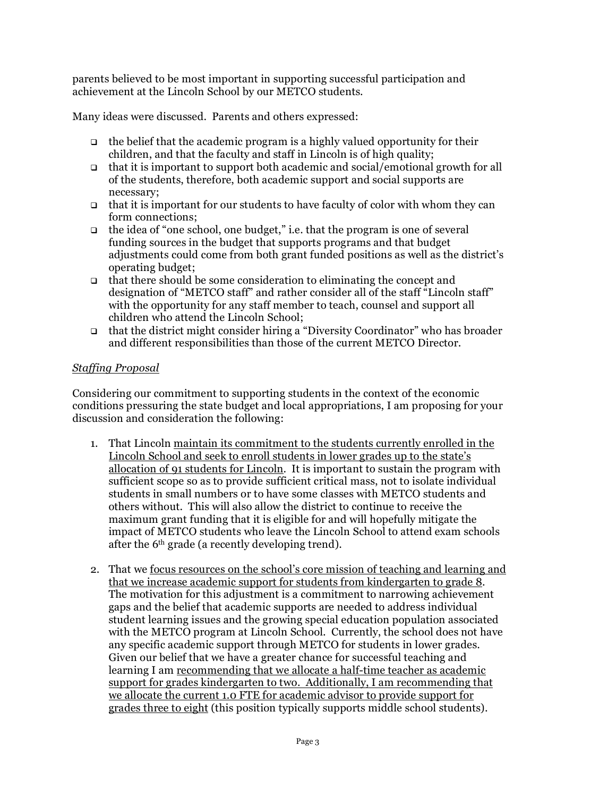parents believed to be most important in supporting successful participation and achievement at the Lincoln School by our METCO students.

Many ideas were discussed. Parents and others expressed:

- $\Box$  the belief that the academic program is a highly valued opportunity for their children, and that the faculty and staff in Lincoln is of high quality;
- $\Box$  that it is important to support both academic and social/emotional growth for all of the students, therefore, both academic support and social supports are necessary;
- $\Box$  that it is important for our students to have faculty of color with whom they can form connections;
- $\Box$  the idea of "one school, one budget," i.e. that the program is one of several funding sources in the budget that supports programs and that budget adjustments could come from both grant funded positions as well as the district's operating budget;
- $\Box$  that there should be some consideration to eliminating the concept and designation of "METCO staff" and rather consider all of the staff "Lincoln staff" with the opportunity for any staff member to teach, counsel and support all children who attend the Lincoln School;
- that the district might consider hiring a "Diversity Coordinator" who has broader and different responsibilities than those of the current METCO Director.

### *Staffing Proposal*

Considering our commitment to supporting students in the context of the economic conditions pressuring the state budget and local appropriations, I am proposing for your discussion and consideration the following:

- 1. That Lincoln maintain its commitment to the students currently enrolled in the Lincoln School and seek to enroll students in lower grades up to the state's allocation of 91 students for Lincoln. It is important to sustain the program with sufficient scope so as to provide sufficient critical mass, not to isolate individual students in small numbers or to have some classes with METCO students and others without. This will also allow the district to continue to receive the maximum grant funding that it is eligible for and will hopefully mitigate the impact of METCO students who leave the Lincoln School to attend exam schools after the 6th grade (a recently developing trend).
- 2. That we focus resources on the school's core mission of teaching and learning and that we increase academic support for students from kindergarten to grade 8. The motivation for this adjustment is a commitment to narrowing achievement gaps and the belief that academic supports are needed to address individual student learning issues and the growing special education population associated with the METCO program at Lincoln School. Currently, the school does not have any specific academic support through METCO for students in lower grades. Given our belief that we have a greater chance for successful teaching and learning I am recommending that we allocate a half-time teacher as academic support for grades kindergarten to two. Additionally, I am recommending that we allocate the current 1.0 FTE for academic advisor to provide support for grades three to eight (this position typically supports middle school students).